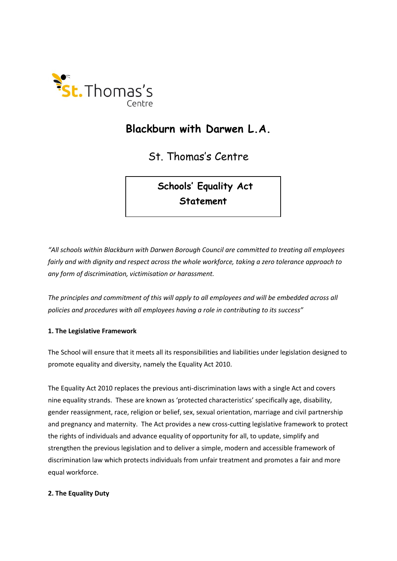

# **Blackburn with Darwen L.A.**

St. Thomas's Centre

**Schools' Equality Act Statement** 

*"All schools within Blackburn with Darwen Borough Council are committed to treating all employees fairly and with dignity and respect across the whole workforce, taking a zero tolerance approach to any form of discrimination, victimisation or harassment.*

*The principles and commitment of this will apply to all employees and will be embedded across all policies and procedures with all employees having a role in contributing to its success"*

### **1. The Legislative Framework**

The School will ensure that it meets all its responsibilities and liabilities under legislation designed to promote equality and diversity, namely the Equality Act 2010.

The Equality Act 2010 replaces the previous anti-discrimination laws with a single Act and covers nine equality strands. These are known as 'protected characteristics' specifically age, disability, gender reassignment, race, religion or belief, sex, sexual orientation, marriage and civil partnership and pregnancy and maternity. The Act provides a new cross-cutting legislative framework to protect the rights of individuals and advance equality of opportunity for all, to update, simplify and strengthen the previous legislation and to deliver a simple, modern and accessible framework of discrimination law which protects individuals from unfair treatment and promotes a fair and more equal workforce.

#### **2. The Equality Duty**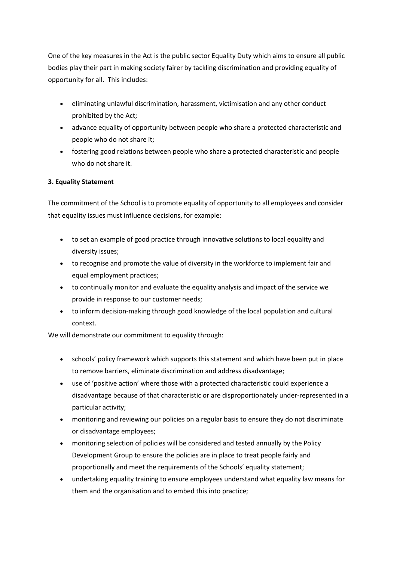One of the key measures in the Act is the public sector Equality Duty which aims to ensure all public bodies play their part in making society fairer by tackling discrimination and providing equality of opportunity for all. This includes:

- eliminating unlawful discrimination, harassment, victimisation and any other conduct prohibited by the Act;
- advance equality of opportunity between people who share a protected characteristic and people who do not share it;
- fostering good relations between people who share a protected characteristic and people who do not share it.

# **3. Equality Statement**

The commitment of the School is to promote equality of opportunity to all employees and consider that equality issues must influence decisions, for example:

- to set an example of good practice through innovative solutions to local equality and diversity issues;
- to recognise and promote the value of diversity in the workforce to implement fair and equal employment practices;
- to continually monitor and evaluate the equality analysis and impact of the service we provide in response to our customer needs;
- to inform decision-making through good knowledge of the local population and cultural context.

We will demonstrate our commitment to equality through:

- schools' policy framework which supports this statement and which have been put in place to remove barriers, eliminate discrimination and address disadvantage;
- use of 'positive action' where those with a protected characteristic could experience a disadvantage because of that characteristic or are disproportionately under-represented in a particular activity;
- monitoring and reviewing our policies on a regular basis to ensure they do not discriminate or disadvantage employees;
- monitoring selection of policies will be considered and tested annually by the Policy Development Group to ensure the policies are in place to treat people fairly and proportionally and meet the requirements of the Schools' equality statement;
- undertaking equality training to ensure employees understand what equality law means for them and the organisation and to embed this into practice;